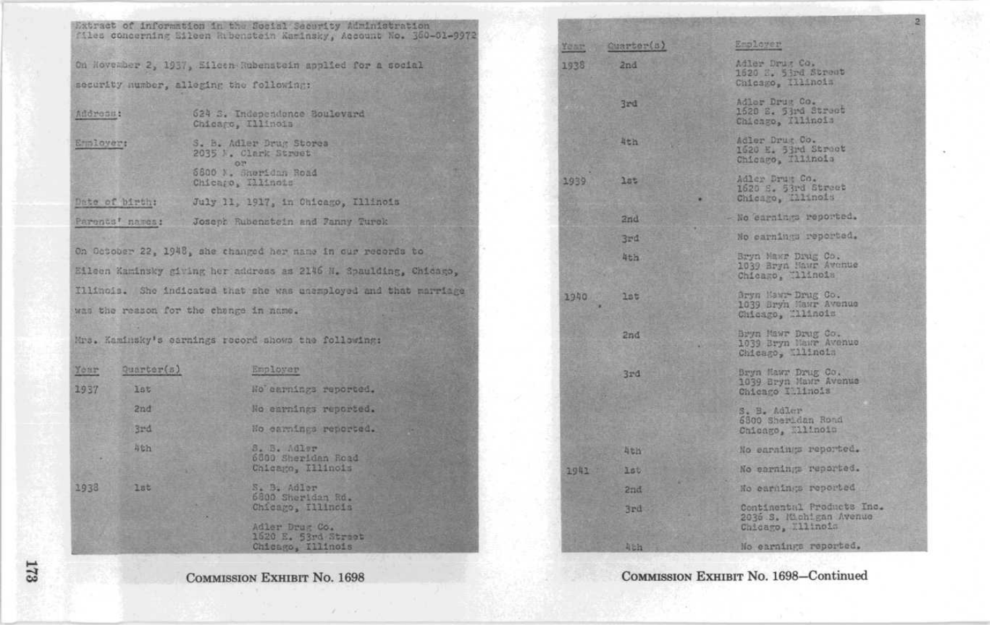|                                        |                 | Extract of information in the Social Security Administration<br>files concerning Eileen Rubenstein Kaminsky, Account No. 360-01-9972 |       |            |                                                                  |
|----------------------------------------|-----------------|--------------------------------------------------------------------------------------------------------------------------------------|-------|------------|------------------------------------------------------------------|
|                                        |                 |                                                                                                                                      | Year. | Quarter(s) | Employer                                                         |
|                                        |                 | On Hovember 2, 1937, Sileen Rubenstein applied for a social                                                                          | 1938  | 2nd        | Adler Drug Co.<br>1620 S. 53rd Strent                            |
|                                        |                 | security number, alleging the following:                                                                                             |       |            | Chicago, Illinois                                                |
| Address:                               |                 | 624 S. Independence Boulevard<br>Chicago, Illinois                                                                                   |       | 3rd        | Adler Drug Co.<br>1520 E. 53rd Street<br>Chicago, Illinois       |
| Emmloyer:                              |                 | S. B. Adler Drug Stores<br>2035 M. Clark Struct<br>O <sup>34</sup>                                                                   |       | 4th        | Adler Drug Co.<br>1620 E. 53rd Street<br>Chicago, Illinois       |
|                                        |                 | 6800 N. Shoridan Road<br>Chicago, 111inois                                                                                           | 1939  | 385        | Adler Drug Co.<br>1620 E. 53rd Street                            |
| Date of birth:                         |                 | July 11, 1917, in Chicago, Illinois                                                                                                  |       |            | Chicago, 111inois                                                |
|                                        | Parents' names: | Joseph Rubenstein and Fanny Turek                                                                                                    |       | 2nd        | No earnings reported.                                            |
|                                        |                 |                                                                                                                                      |       | 3rd        | No carnings reported.                                            |
|                                        |                 | On October 22, 1948, she changed her name in our records to                                                                          |       | 4th        | Bryn Mawr Drug Co.                                               |
|                                        |                 | Eileen Kaminsky giving her address as 2146 H. Spaulding, Chicago,                                                                    |       |            | 1039 Bryn Hawr Avenue<br>Chicago, llinois                        |
|                                        |                 | Illinois. She indicated that she was unemployed and that marriage                                                                    | 1940  | 2pt        | Bryn Hawr-Drug Co.                                               |
| was the reason for the change in name. |                 |                                                                                                                                      |       |            | 1039 Bryn Mawr Avenue<br>Chicago, Milinois                       |
|                                        |                 | Mrs. Kaminsky's carnings record shows the following:                                                                                 |       | 2nd        | Bryn Mawr Drug Co.<br>1039 Bryn Mawr Avenue<br>Chicago, Willnois |
| Your                                   | Quarter(s)      | Employer                                                                                                                             |       | 3rd        | Bryn Mawr Drug Co.                                               |
| 1937                                   | lst             | No carnings reported.                                                                                                                |       |            | 1039 Bryn Mawr Avenue<br>Chicago Illinois                        |
|                                        | 2nd             | No carnings reported.                                                                                                                |       |            | S. B. Adler                                                      |
|                                        | 3rd             | Ho carnings reported.                                                                                                                |       |            | 6300 Sheridan Rond<br>Chicago, Elinois                           |
|                                        | 4th             | S. B. Adler<br>6000 Sheridan Road                                                                                                    |       | <b>Ath</b> | No earnings reported.                                            |
|                                        |                 | Chicago, Illinois                                                                                                                    | 1941  | 150        | No carnings reported.                                            |
| 1938                                   | lat             | S. B. Adler<br>6800 Sherldan Rd.<br>Chicago, Illinois<br>Adler Drug Co.<br>1520 E. 53rd Street                                       |       | 2nd        | No earnings reported                                             |
|                                        |                 |                                                                                                                                      |       | 3rd        | Continental Products Inc.<br>2030 S. Michigan Avenue             |
|                                        |                 |                                                                                                                                      |       |            | Chicago, X11inois                                                |
|                                        |                 | Chicago, Illinois                                                                                                                    |       | Ath        | No earnings reported.                                            |

COMMISSION EXHIBIT No. 1698

 $\mathcal{D} = \mathcal{D} \mathcal{D}$  .

COMMISSION EXHIBIT No. 1698-Continued

173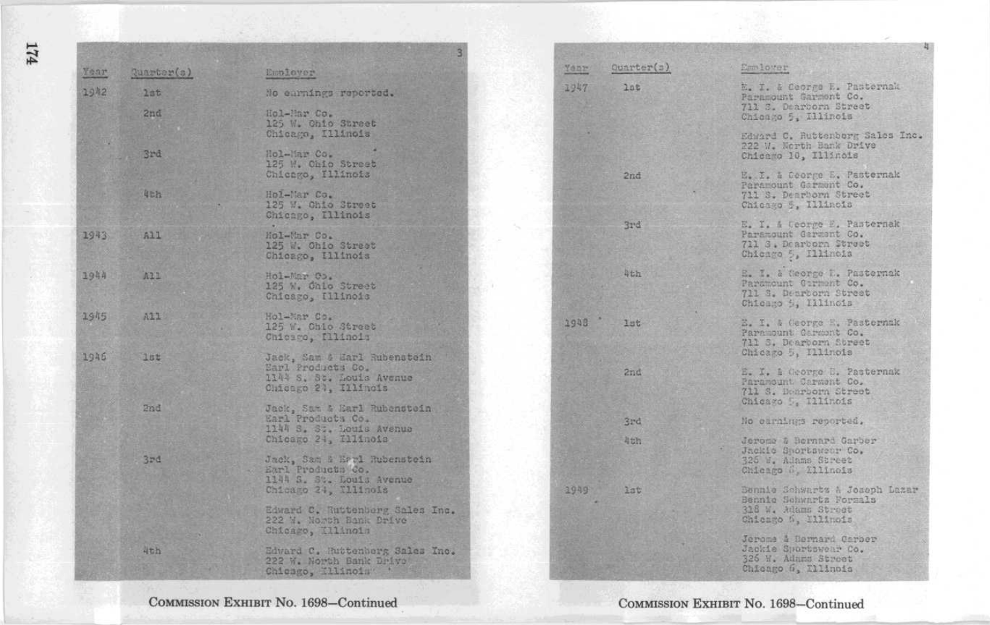| Year | Quarter(s)                                                                                                     | Employer                                                                                             | Ouarter(s)<br>Yenr | Emmlower                                                                                                |
|------|----------------------------------------------------------------------------------------------------------------|------------------------------------------------------------------------------------------------------|--------------------|---------------------------------------------------------------------------------------------------------|
| 1942 | 2a5<br>2nd                                                                                                     | No carnings reported.<br>Hol-Mar Co.                                                                 | 1947<br>20E        | E. I. & Ceorge E. Pasternak<br>Paramount Garment Co.<br>711 S. Dearborn Street<br>Chicago 5, Illinois   |
|      | 3r <sub>d</sub>                                                                                                | 125 W. Ohio Street<br>Chicago, Illinois<br>Hol-Mar Co.                                               |                    | Edward C. Ruttenberg Sales Inc.<br>222 W. North Bank Drive<br>Chicago 10, Illinois                      |
|      | <b>Ath</b>                                                                                                     | 125 W. Ohio Street<br>Chicago, Illinois<br>Hol-Mar Co.<br>125 W. Ohio Street                         | 2nd                | E. I. & Coorge E. Pasternak<br>Paramount Garment Co.<br>711 S. Dearborn Street<br>Chicago 5, Illinois   |
| 1943 | All                                                                                                            | Chicago, Illinois<br>Mol-Mar Co.<br>125 W. Ohio Street<br>Chicago, Illinois                          | 3rd                | E. I. & Ceorge E. Pasternak<br>Paramount Garment Co.<br>711 S. Dearborn Street<br>Chicago 5, Illinois   |
| 1944 | A21                                                                                                            | Hol-Mar Co.<br>125 W. Ohlo Street<br>Chicago, Illinois                                               | 马七九                | E. I. & George D. Pasternak<br>Paramount Garment Co.<br>711 S. Dearborn Street<br>Chicago i, Illinois   |
| 1945 | A21                                                                                                            | Hol-Mar Co.<br>125 W. Ohio Street<br>Chicago, Illinois                                               | 1948<br>156        | E. I. & George E. Pasternak<br>Paramount Carment Co.<br>711 S. Dearborn Street,<br>Chicago 5, Illinois  |
| 1945 | 10t                                                                                                            | Jack, Sam & Harl Rubenstein<br>Earl Products Co.<br>1144 S. St. Louis Avenue<br>Chicago 21, Illinois | 2nd                | E. I. i George E. Pasternak<br>Paramount Carment Co.<br>711 S. Denroorn Street<br>Chicago D. 111inois   |
|      | 2nd                                                                                                            | Jack, Sam & Earl Rubenstein<br>Earl Products Co.<br>1144 S. S., Louis Avenue                         | 3rd                | No carnings reported.                                                                                   |
|      | 3rd                                                                                                            | Chicago 24, Illinois<br>Jack, Sam & Errl Rubenstein<br>Earl Products Co.                             | 4th                | Jerome & Bernard Carber<br>Jackie Swortsweer Co.<br>325 W. Adams Street<br>Chicago 6, Illinois          |
|      | 1144 S. St. Louis Avenue<br>Chicago 24, Xllinois<br>Edward C. Ruttenberg Sales Inc.<br>222 W. Nowth Bank Drive |                                                                                                      | 1949<br>3at        | Bennie Schwartz A Joseph Lazar<br>Bennie Schwartz Forzals<br>318 W. Adams Street<br>Chicago 5, Ellinois |
|      | 4th                                                                                                            | Chicago, Kllinois<br>Edward C. Huttenberg Sales Inc.<br>222 W. North Bank Drive<br>Chicago, Illinoin |                    | Jerome & Bernard Carber<br>Jackie Sportswear Co.<br>326 H. Admms Street<br>Chicago 6, Ellinois          |

COMMISSION EXHIBIT No. 1698-Continued

 $\frac{174}{5}$